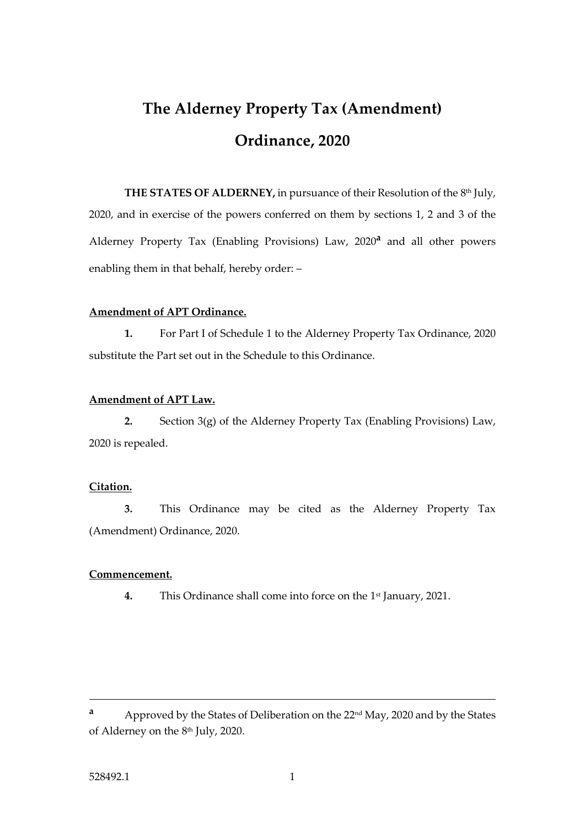# **The Alderney Property Tax (Amendment) Ordinance, 2020**

**THE STATES OF ALDERNEY,** in pursuance of their Resolution of the 8 th July, 2020, and in exercise of the powers conferred on them by sections 1, 2 and 3 of the Alderney Property Tax (Enabling Provisions) Law, 2020**<sup>a</sup>** and all other powers enabling them in that behalf, hereby order: –

#### **Amendment of APT Ordinance.**

**1.** For Part I of Schedule 1 to the Alderney Property Tax Ordinance, 2020 substitute the Part set out in the Schedule to this Ordinance.

#### **Amendment of APT Law.**

**2.** Section 3(g) of the Alderney Property Tax (Enabling Provisions) Law, 2020 is repealed.

#### **Citation.**

**3.** This Ordinance may be cited as the Alderney Property Tax (Amendment) Ordinance, 2020.

#### **Commencement.**

**4.** This Ordinance shall come into force on the 1st January, 2021.

**a** Approved by the States of Deliberation on the 22<sup>nd</sup> May, 2020 and by the States of Alderney on the 8 th July, 2020.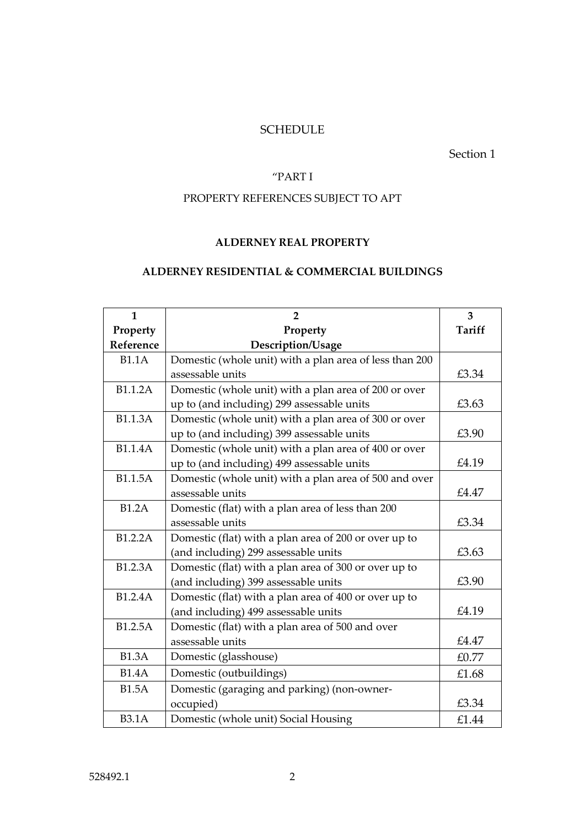## SCHEDULE

#### Section 1

## "PART I

# PROPERTY REFERENCES SUBJECT TO APT

## **ALDERNEY REAL PROPERTY**

# **ALDERNEY RESIDENTIAL & COMMERCIAL BUILDINGS**

| $\mathbf{1}$   | $\overline{2}$                                          | 3      |
|----------------|---------------------------------------------------------|--------|
| Property       | Property                                                | Tariff |
| Reference      | Description/Usage                                       |        |
| <b>B1.1A</b>   | Domestic (whole unit) with a plan area of less than 200 |        |
|                | assessable units                                        | £3.34  |
| B1.1.2A        | Domestic (whole unit) with a plan area of 200 or over   |        |
|                | up to (and including) 299 assessable units              | £3.63  |
| <b>B1.1.3A</b> | Domestic (whole unit) with a plan area of 300 or over   |        |
|                | up to (and including) 399 assessable units              | £3.90  |
| <b>B1.1.4A</b> | Domestic (whole unit) with a plan area of 400 or over   |        |
|                | up to (and including) 499 assessable units              | £4.19  |
| <b>B1.1.5A</b> | Domestic (whole unit) with a plan area of 500 and over  |        |
|                | assessable units                                        | £4.47  |
| <b>B1.2A</b>   | Domestic (flat) with a plan area of less than 200       |        |
|                | assessable units                                        | £3.34  |
| B1.2.2A        | Domestic (flat) with a plan area of 200 or over up to   |        |
|                | (and including) 299 assessable units                    | £3.63  |
| B1.2.3A        | Domestic (flat) with a plan area of 300 or over up to   |        |
|                | (and including) 399 assessable units                    | £3.90  |
| B1.2.4A        | Domestic (flat) with a plan area of 400 or over up to   |        |
|                | (and including) 499 assessable units                    | £4.19  |
| B1.2.5A        | Domestic (flat) with a plan area of 500 and over        |        |
|                | assessable units                                        | £4.47  |
| <b>B1.3A</b>   | Domestic (glasshouse)                                   | £0.77  |
| <b>B1.4A</b>   | Domestic (outbuildings)                                 | £1.68  |
| <b>B1.5A</b>   | Domestic (garaging and parking) (non-owner-             |        |
|                | occupied)                                               | £3.34  |
| <b>B3.1A</b>   | Domestic (whole unit) Social Housing                    | £1.44  |